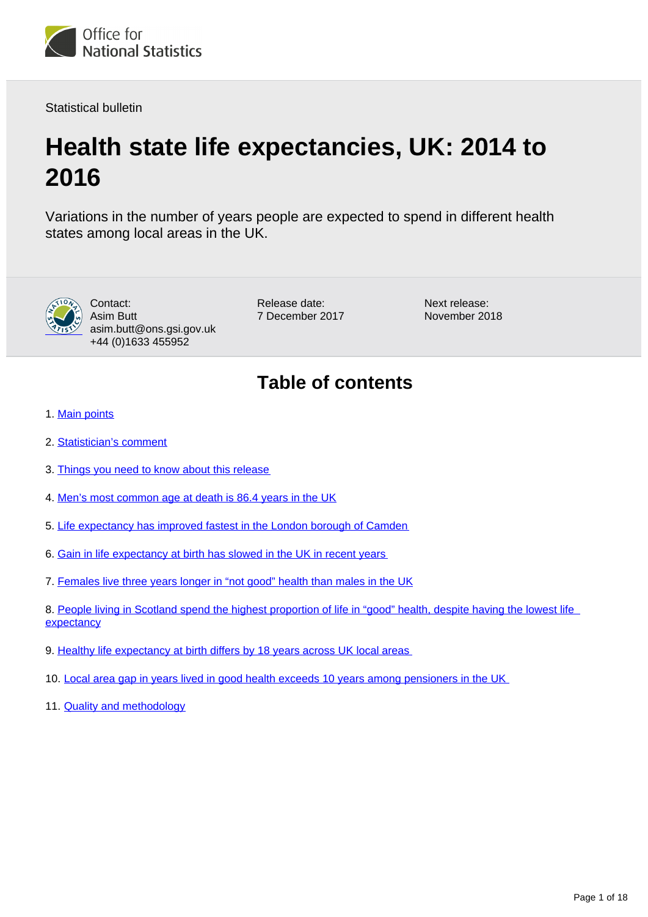

Statistical bulletin

# **Health state life expectancies, UK: 2014 to 2016**

Variations in the number of years people are expected to spend in different health states among local areas in the UK.



Contact: Asim Butt asim.butt@ons.gsi.gov.uk +44 (0)1633 455952

Release date: 7 December 2017 Next release: November 2018

## **Table of contents**

- 1. [Main points](#page-1-0)
- 2. [Statistician's comment](#page-1-1)
- 3. [Things you need to know about this release](#page-1-2)
- 4. [Men's most common age at death is 86.4 years in the UK](#page-2-0)
- 5. [Life expectancy has improved fastest in the London borough of Camden](#page-4-0)
- 6. [Gain in life expectancy at birth has slowed in the UK in recent years](#page-5-0)
- 7. [Females live three years longer in "not good" health than males in the UK](#page-7-0)

8. People living in Scotland spend the highest proportion of life in "good" health, despite having the lowest life [expectancy](#page-8-0)

- 9. [Healthy life expectancy at birth differs by 18 years across UK local areas](#page-10-0)
- 10. [Local area gap in years lived in good health exceeds 10 years among pensioners in the UK](#page-12-0)
- 11. [Quality and methodology](#page-15-0)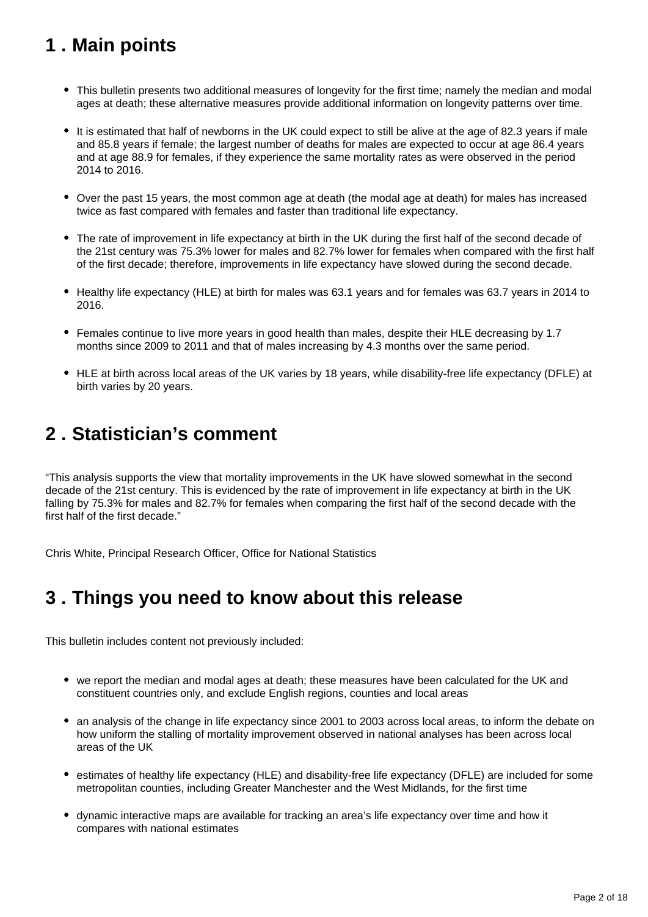## <span id="page-1-0"></span>**1 . Main points**

- This bulletin presents two additional measures of longevity for the first time; namely the median and modal ages at death; these alternative measures provide additional information on longevity patterns over time.
- It is estimated that half of newborns in the UK could expect to still be alive at the age of 82.3 years if male and 85.8 years if female; the largest number of deaths for males are expected to occur at age 86.4 years and at age 88.9 for females, if they experience the same mortality rates as were observed in the period 2014 to 2016.
- Over the past 15 years, the most common age at death (the modal age at death) for males has increased twice as fast compared with females and faster than traditional life expectancy.
- The rate of improvement in life expectancy at birth in the UK during the first half of the second decade of the 21st century was 75.3% lower for males and 82.7% lower for females when compared with the first half of the first decade; therefore, improvements in life expectancy have slowed during the second decade.
- Healthy life expectancy (HLE) at birth for males was 63.1 years and for females was 63.7 years in 2014 to 2016.
- Females continue to live more years in good health than males, despite their HLE decreasing by 1.7 months since 2009 to 2011 and that of males increasing by 4.3 months over the same period.
- HLE at birth across local areas of the UK varies by 18 years, while disability-free life expectancy (DFLE) at birth varies by 20 years.

## <span id="page-1-1"></span>**2 . Statistician's comment**

"This analysis supports the view that mortality improvements in the UK have slowed somewhat in the second decade of the 21st century. This is evidenced by the rate of improvement in life expectancy at birth in the UK falling by 75.3% for males and 82.7% for females when comparing the first half of the second decade with the first half of the first decade."

Chris White, Principal Research Officer, Office for National Statistics

### <span id="page-1-2"></span>**3 . Things you need to know about this release**

This bulletin includes content not previously included:

- we report the median and modal ages at death; these measures have been calculated for the UK and constituent countries only, and exclude English regions, counties and local areas
- an analysis of the change in life expectancy since 2001 to 2003 across local areas, to inform the debate on how uniform the stalling of mortality improvement observed in national analyses has been across local areas of the UK
- estimates of healthy life expectancy (HLE) and disability-free life expectancy (DFLE) are included for some metropolitan counties, including Greater Manchester and the West Midlands, for the first time
- dynamic interactive maps are available for tracking an area's life expectancy over time and how it compares with national estimates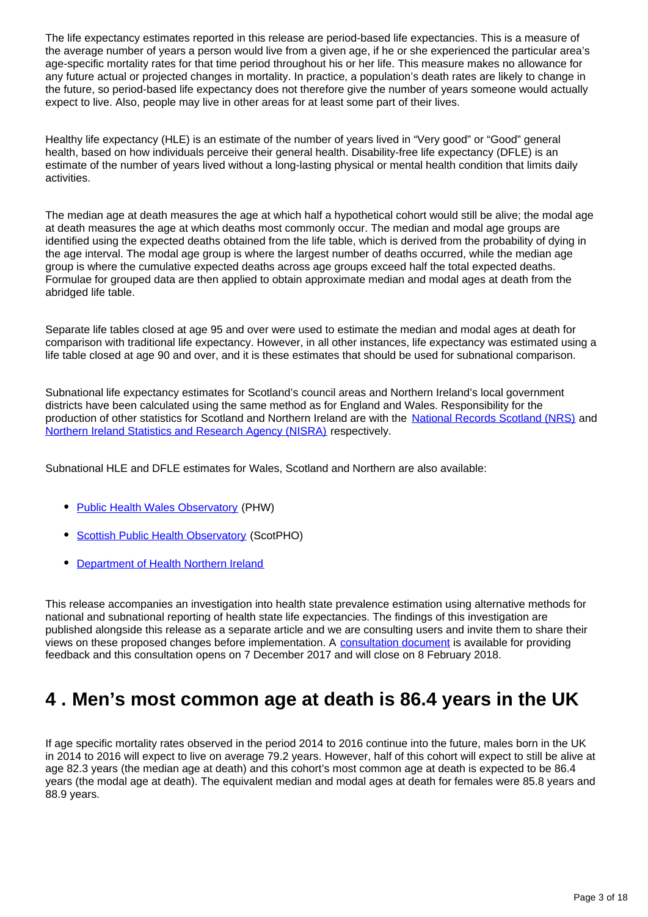The life expectancy estimates reported in this release are period-based life expectancies. This is a measure of the average number of years a person would live from a given age, if he or she experienced the particular area's age-specific mortality rates for that time period throughout his or her life. This measure makes no allowance for any future actual or projected changes in mortality. In practice, a population's death rates are likely to change in the future, so period-based life expectancy does not therefore give the number of years someone would actually expect to live. Also, people may live in other areas for at least some part of their lives.

Healthy life expectancy (HLE) is an estimate of the number of years lived in "Very good" or "Good" general health, based on how individuals perceive their general health. Disability-free life expectancy (DFLE) is an estimate of the number of years lived without a long-lasting physical or mental health condition that limits daily activities.

The median age at death measures the age at which half a hypothetical cohort would still be alive; the modal age at death measures the age at which deaths most commonly occur. The median and modal age groups are identified using the expected deaths obtained from the life table, which is derived from the probability of dying in the age interval. The modal age group is where the largest number of deaths occurred, while the median age group is where the cumulative expected deaths across age groups exceed half the total expected deaths. Formulae for grouped data are then applied to obtain approximate median and modal ages at death from the abridged life table.

Separate life tables closed at age 95 and over were used to estimate the median and modal ages at death for comparison with traditional life expectancy. However, in all other instances, life expectancy was estimated using a life table closed at age 90 and over, and it is these estimates that should be used for subnational comparison.

Subnational life expectancy estimates for Scotland's council areas and Northern Ireland's local government districts have been calculated using the same method as for England and Wales. Responsibility for the production of other statistics for Scotland and Northern Ireland are with the [National Records Scotland \(NRS\)](http://www.nrscotland.gov.uk/statistics-and-data/statistics/statistics-by-theme/life-expectancy/life-expectancy-in-scottish-areas) and [Northern Ireland Statistics and Research Agency \(NISRA\)](http://www.nisra.gov.uk/demography/default.asp130.htm) respectively.

Subnational HLE and DFLE estimates for Wales, Scotland and Northern are also available:

- [Public Health Wales Observatory](http://www.wales.nhs.uk/sitesplus/922/page/49811) (PHW)
- [Scottish Public Health Observatory](http://www.scotpho.org.uk/population-dynamics/healthy-life-expectancy/key-points) (ScotPHO)
- [Department of Health Northern Ireland](https://www.health-ni.gov.uk/sites/default/files/publications/health/hscims-report-2016.pdf)

This release accompanies an investigation into health state prevalence estimation using alternative methods for national and subnational reporting of health state life expectancies. The findings of this investigation are published alongside this release as a separate article and we are consulting users and invite them to share their views on these proposed changes before implementation. A [consultation document](https://consultations.ons.gov.uk/health-and-life-events/changes-to-health-state-life-expectancy-methodolog) is available for providing feedback and this consultation opens on 7 December 2017 and will close on 8 February 2018.

## <span id="page-2-0"></span>**4 . Men's most common age at death is 86.4 years in the UK**

If age specific mortality rates observed in the period 2014 to 2016 continue into the future, males born in the UK in 2014 to 2016 will expect to live on average 79.2 years. However, half of this cohort will expect to still be alive at age 82.3 years (the median age at death) and this cohort's most common age at death is expected to be 86.4 years (the modal age at death). The equivalent median and modal ages at death for females were 85.8 years and 88.9 years.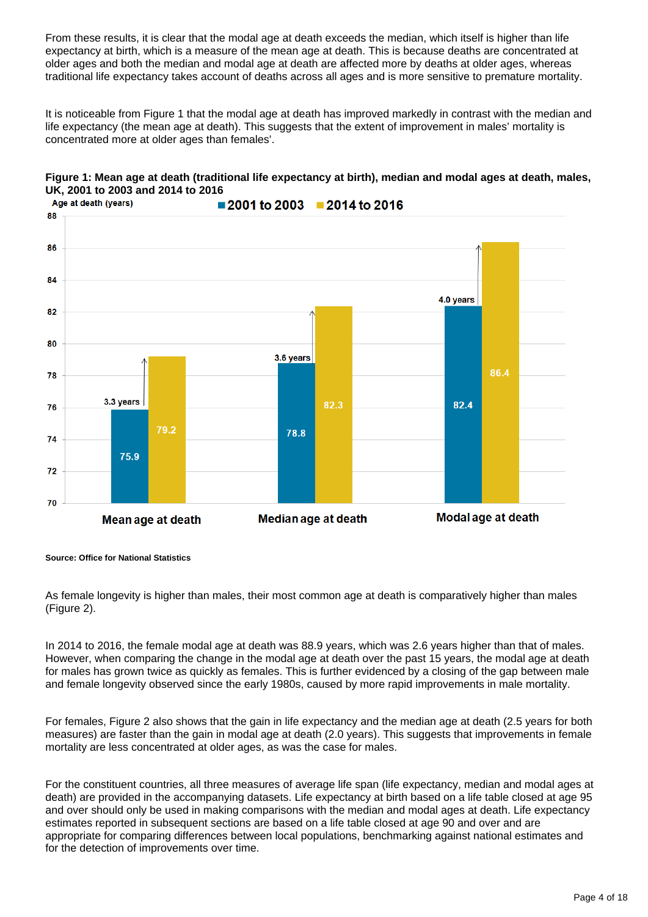From these results, it is clear that the modal age at death exceeds the median, which itself is higher than life expectancy at birth, which is a measure of the mean age at death. This is because deaths are concentrated at older ages and both the median and modal age at death are affected more by deaths at older ages, whereas traditional life expectancy takes account of deaths across all ages and is more sensitive to premature mortality.

It is noticeable from Figure 1 that the modal age at death has improved markedly in contrast with the median and life expectancy (the mean age at death). This suggests that the extent of improvement in males' mortality is concentrated more at older ages than females'.



#### **Figure 1: Mean age at death (traditional life expectancy at birth), median and modal ages at death, males, UK, 2001 to 2003 and 2014 to 2016**

**Source: Office for National Statistics**

As female longevity is higher than males, their most common age at death is comparatively higher than males (Figure 2).

In 2014 to 2016, the female modal age at death was 88.9 years, which was 2.6 years higher than that of males. However, when comparing the change in the modal age at death over the past 15 years, the modal age at death for males has grown twice as quickly as females. This is further evidenced by a closing of the gap between male and female longevity observed since the early 1980s, caused by more rapid improvements in male mortality.

For females, Figure 2 also shows that the gain in life expectancy and the median age at death (2.5 years for both measures) are faster than the gain in modal age at death (2.0 years). This suggests that improvements in female mortality are less concentrated at older ages, as was the case for males.

For the constituent countries, all three measures of average life span (life expectancy, median and modal ages at death) are provided in the accompanying datasets. Life expectancy at birth based on a life table closed at age 95 and over should only be used in making comparisons with the median and modal ages at death. Life expectancy estimates reported in subsequent sections are based on a life table closed at age 90 and over and are appropriate for comparing differences between local populations, benchmarking against national estimates and for the detection of improvements over time.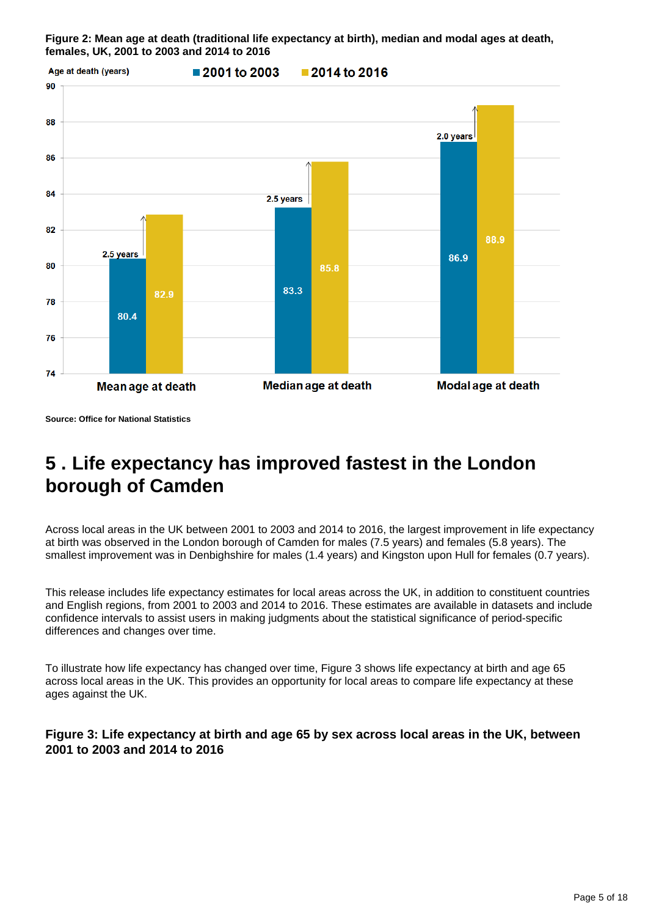**Figure 2: Mean age at death (traditional life expectancy at birth), median and modal ages at death, females, UK, 2001 to 2003 and 2014 to 2016**



**Source: Office for National Statistics**

## <span id="page-4-0"></span>**5 . Life expectancy has improved fastest in the London borough of Camden**

Across local areas in the UK between 2001 to 2003 and 2014 to 2016, the largest improvement in life expectancy at birth was observed in the London borough of Camden for males (7.5 years) and females (5.8 years). The smallest improvement was in Denbighshire for males (1.4 years) and Kingston upon Hull for females (0.7 years).

This release includes life expectancy estimates for local areas across the UK, in addition to constituent countries and English regions, from 2001 to 2003 and 2014 to 2016. These estimates are available in datasets and include confidence intervals to assist users in making judgments about the statistical significance of period-specific differences and changes over time.

To illustrate how life expectancy has changed over time, Figure 3 shows life expectancy at birth and age 65 across local areas in the UK. This provides an opportunity for local areas to compare life expectancy at these ages against the UK.

### **Figure 3: Life expectancy at birth and age 65 by sex across local areas in the UK, between 2001 to 2003 and 2014 to 2016**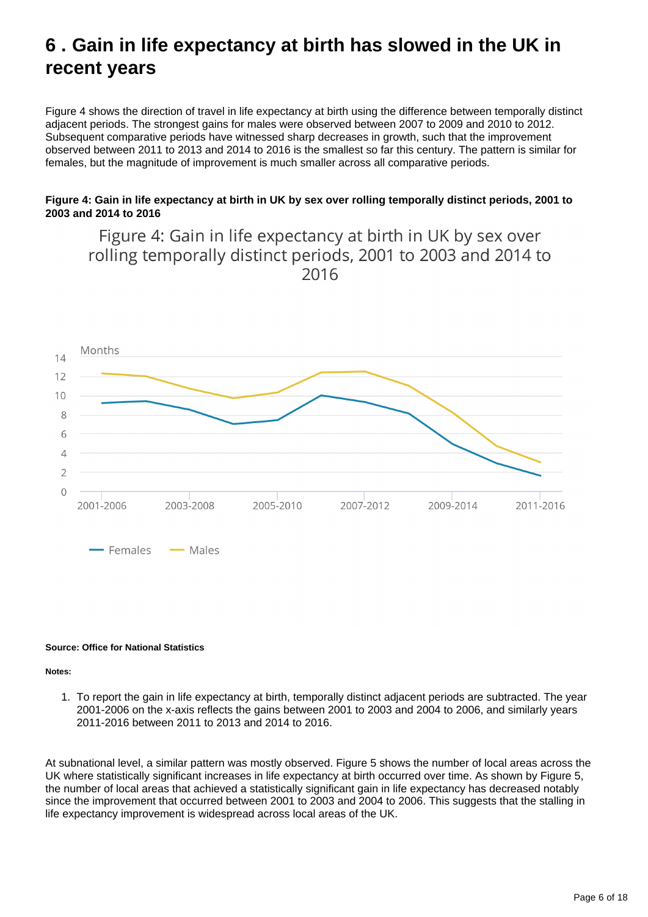## <span id="page-5-0"></span>**6 . Gain in life expectancy at birth has slowed in the UK in recent years**

Figure 4 shows the direction of travel in life expectancy at birth using the difference between temporally distinct adjacent periods. The strongest gains for males were observed between 2007 to 2009 and 2010 to 2012. Subsequent comparative periods have witnessed sharp decreases in growth, such that the improvement observed between 2011 to 2013 and 2014 to 2016 is the smallest so far this century. The pattern is similar for females, but the magnitude of improvement is much smaller across all comparative periods.

#### **Figure 4: Gain in life expectancy at birth in UK by sex over rolling temporally distinct periods, 2001 to 2003 and 2014 to 2016**

Figure 4: Gain in life expectancy at birth in UK by sex over rolling temporally distinct periods, 2001 to 2003 and 2014 to 2016



#### **Source: Office for National Statistics**

#### **Notes:**

1. To report the gain in life expectancy at birth, temporally distinct adjacent periods are subtracted. The year 2001-2006 on the x-axis reflects the gains between 2001 to 2003 and 2004 to 2006, and similarly years 2011-2016 between 2011 to 2013 and 2014 to 2016.

At subnational level, a similar pattern was mostly observed. Figure 5 shows the number of local areas across the UK where statistically significant increases in life expectancy at birth occurred over time. As shown by Figure 5, the number of local areas that achieved a statistically significant gain in life expectancy has decreased notably since the improvement that occurred between 2001 to 2003 and 2004 to 2006. This suggests that the stalling in life expectancy improvement is widespread across local areas of the UK.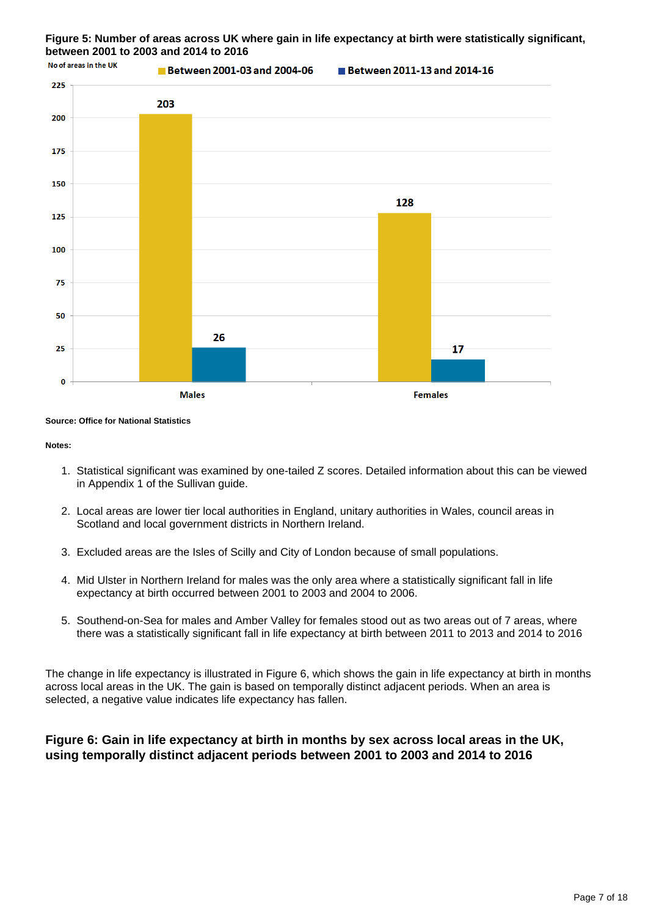#### **Figure 5: Number of areas across UK where gain in life expectancy at birth were statistically significant, between 2001 to 2003 and 2014 to 2016**



**Source: Office for National Statistics**

#### **Notes:**

- 1. Statistical significant was examined by one-tailed Z scores. Detailed information about this can be viewed in Appendix 1 of the Sullivan guide.
- 2. Local areas are lower tier local authorities in England, unitary authorities in Wales, council areas in Scotland and local government districts in Northern Ireland.
- 3. Excluded areas are the Isles of Scilly and City of London because of small populations.
- 4. Mid Ulster in Northern Ireland for males was the only area where a statistically significant fall in life expectancy at birth occurred between 2001 to 2003 and 2004 to 2006.
- 5. Southend-on-Sea for males and Amber Valley for females stood out as two areas out of 7 areas, where there was a statistically significant fall in life expectancy at birth between 2011 to 2013 and 2014 to 2016

The change in life expectancy is illustrated in Figure 6, which shows the gain in life expectancy at birth in months across local areas in the UK. The gain is based on temporally distinct adjacent periods. When an area is selected, a negative value indicates life expectancy has fallen.

#### **Figure 6: Gain in life expectancy at birth in months by sex across local areas in the UK, using temporally distinct adjacent periods between 2001 to 2003 and 2014 to 2016**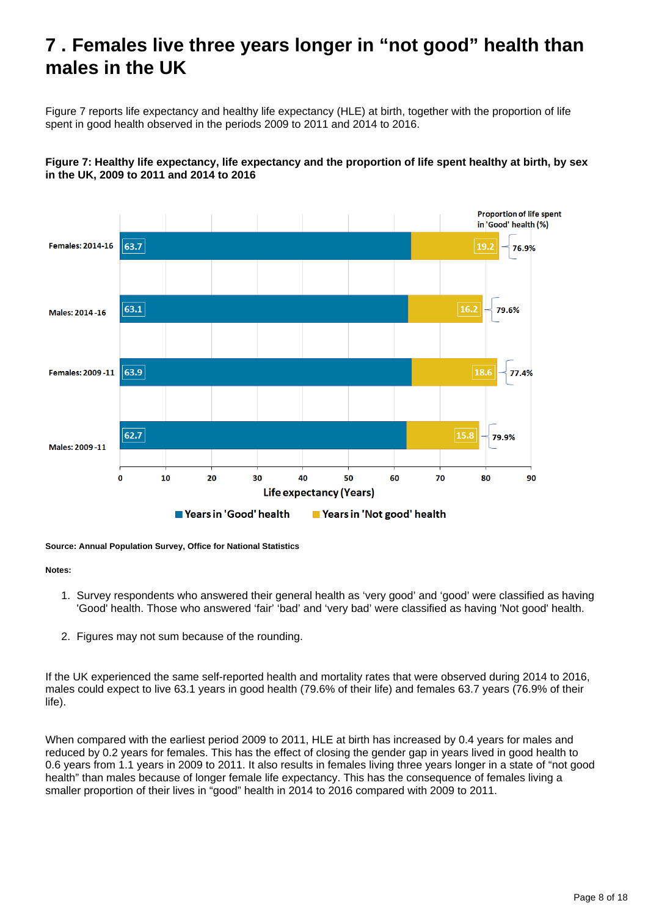## <span id="page-7-0"></span>**7 . Females live three years longer in "not good" health than males in the UK**

Figure 7 reports life expectancy and healthy life expectancy (HLE) at birth, together with the proportion of life spent in good health observed in the periods 2009 to 2011 and 2014 to 2016.

#### **Figure 7: Healthy life expectancy, life expectancy and the proportion of life spent healthy at birth, by sex in the UK, 2009 to 2011 and 2014 to 2016**



**Source: Annual Population Survey, Office for National Statistics**

#### **Notes:**

- 1. Survey respondents who answered their general health as 'very good' and 'good' were classified as having 'Good' health. Those who answered 'fair' 'bad' and 'very bad' were classified as having 'Not good' health.
- 2. Figures may not sum because of the rounding.

If the UK experienced the same self-reported health and mortality rates that were observed during 2014 to 2016, males could expect to live 63.1 years in good health (79.6% of their life) and females 63.7 years (76.9% of their life).

When compared with the earliest period 2009 to 2011, HLE at birth has increased by 0.4 years for males and reduced by 0.2 years for females. This has the effect of closing the gender gap in years lived in good health to 0.6 years from 1.1 years in 2009 to 2011. It also results in females living three years longer in a state of "not good health" than males because of longer female life expectancy. This has the consequence of females living a smaller proportion of their lives in "good" health in 2014 to 2016 compared with 2009 to 2011.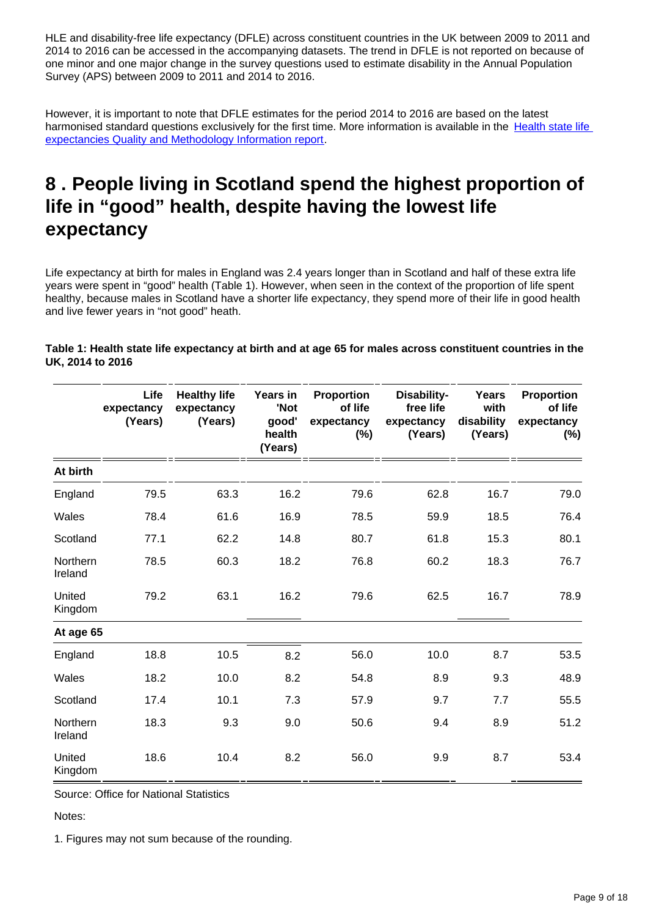HLE and disability-free life expectancy (DFLE) across constituent countries in the UK between 2009 to 2011 and 2014 to 2016 can be accessed in the accompanying datasets. The trend in DFLE is not reported on because of one minor and one major change in the survey questions used to estimate disability in the Annual Population Survey (APS) between 2009 to 2011 and 2014 to 2016.

However, it is important to note that DFLE estimates for the period 2014 to 2016 are based on the latest harmonised standard questions exclusively for the first time. More information is available in the Health state life [expectancies Quality and Methodology Information report.](https://www.ons.gov.uk/peoplepopulationandcommunity/healthandsocialcare/healthandlifeexpectancies/methodologies/healthstatelifeexpectanciesukqmi)

## <span id="page-8-0"></span>**8 . People living in Scotland spend the highest proportion of life in "good" health, despite having the lowest life expectancy**

Life expectancy at birth for males in England was 2.4 years longer than in Scotland and half of these extra life years were spent in "good" health (Table 1). However, when seen in the context of the proportion of life spent healthy, because males in Scotland have a shorter life expectancy, they spend more of their life in good health and live fewer years in "not good" heath.

|                     | Life<br>expectancy<br>(Years) | <b>Healthy life</b><br>expectancy<br>(Years) | Years in<br>'Not<br>good'<br>health<br>(Years) | <b>Proportion</b><br>of life<br>expectancy<br>$(\%)$ | Disability-<br>free life<br>expectancy<br>(Years) | Years<br>with<br>disability<br>(Years) | <b>Proportion</b><br>of life<br>expectancy<br>(%) |
|---------------------|-------------------------------|----------------------------------------------|------------------------------------------------|------------------------------------------------------|---------------------------------------------------|----------------------------------------|---------------------------------------------------|
| At birth            |                               |                                              |                                                |                                                      |                                                   |                                        |                                                   |
| England             | 79.5                          | 63.3                                         | 16.2                                           | 79.6                                                 | 62.8                                              | 16.7                                   | 79.0                                              |
| Wales               | 78.4                          | 61.6                                         | 16.9                                           | 78.5                                                 | 59.9                                              | 18.5                                   | 76.4                                              |
| Scotland            | 77.1                          | 62.2                                         | 14.8                                           | 80.7                                                 | 61.8                                              | 15.3                                   | 80.1                                              |
| Northern<br>Ireland | 78.5                          | 60.3                                         | 18.2                                           | 76.8                                                 | 60.2                                              | 18.3                                   | 76.7                                              |
| United<br>Kingdom   | 79.2                          | 63.1                                         | 16.2                                           | 79.6                                                 | 62.5                                              | 16.7                                   | 78.9                                              |
| At age 65           |                               |                                              |                                                |                                                      |                                                   |                                        |                                                   |
| England             | 18.8                          | 10.5                                         | 8.2                                            | 56.0                                                 | 10.0                                              | 8.7                                    | 53.5                                              |
| Wales               | 18.2                          | 10.0                                         | 8.2                                            | 54.8                                                 | 8.9                                               | 9.3                                    | 48.9                                              |
| Scotland            | 17.4                          | 10.1                                         | 7.3                                            | 57.9                                                 | 9.7                                               | 7.7                                    | 55.5                                              |
| Northern<br>Ireland | 18.3                          | 9.3                                          | 9.0                                            | 50.6                                                 | 9.4                                               | 8.9                                    | 51.2                                              |
| United<br>Kingdom   | 18.6                          | 10.4                                         | 8.2                                            | 56.0                                                 | 9.9                                               | 8.7                                    | 53.4                                              |

**Table 1: Health state life expectancy at birth and at age 65 for males across constituent countries in the UK, 2014 to 2016**

Source: Office for National Statistics

Notes:

1. Figures may not sum because of the rounding.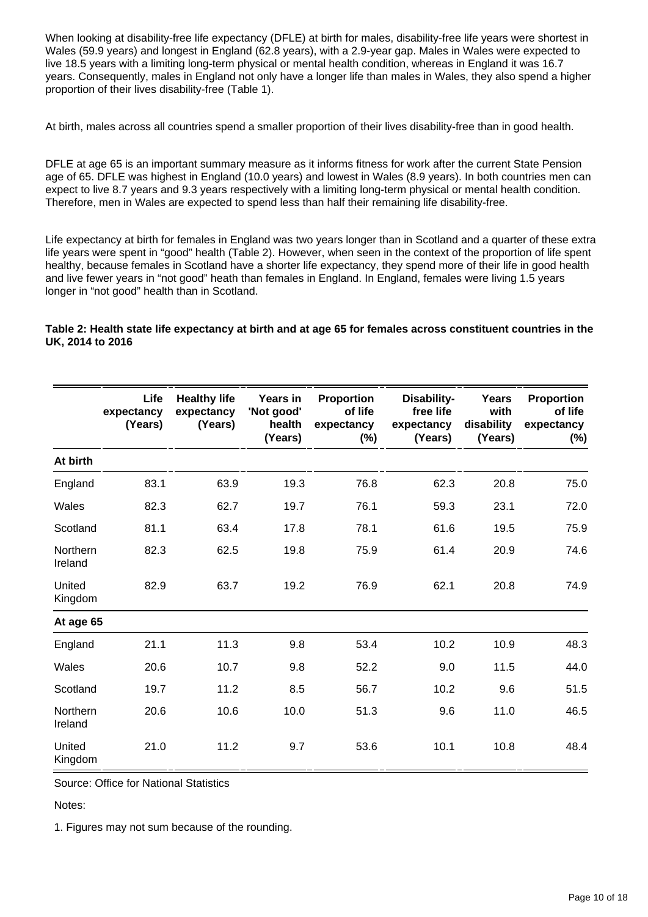When looking at disability-free life expectancy (DFLE) at birth for males, disability-free life years were shortest in Wales (59.9 years) and longest in England (62.8 years), with a 2.9-year gap. Males in Wales were expected to live 18.5 years with a limiting long-term physical or mental health condition, whereas in England it was 16.7 years. Consequently, males in England not only have a longer life than males in Wales, they also spend a higher proportion of their lives disability-free (Table 1).

At birth, males across all countries spend a smaller proportion of their lives disability-free than in good health.

DFLE at age 65 is an important summary measure as it informs fitness for work after the current State Pension age of 65. DFLE was highest in England (10.0 years) and lowest in Wales (8.9 years). In both countries men can expect to live 8.7 years and 9.3 years respectively with a limiting long-term physical or mental health condition. Therefore, men in Wales are expected to spend less than half their remaining life disability-free.

Life expectancy at birth for females in England was two years longer than in Scotland and a quarter of these extra life years were spent in "good" health (Table 2). However, when seen in the context of the proportion of life spent healthy, because females in Scotland have a shorter life expectancy, they spend more of their life in good health and live fewer years in "not good" heath than females in England. In England, females were living 1.5 years longer in "not good" health than in Scotland.

#### **Table 2: Health state life expectancy at birth and at age 65 for females across constituent countries in the UK, 2014 to 2016**

|                     | Life<br>expectancy<br>(Years) | <b>Healthy life</b><br>expectancy<br>(Years) | Years in<br>'Not good'<br>health<br>(Years) | Proportion<br>of life<br>expectancy<br>$(\%)$ | Disability-<br>free life<br>expectancy<br>(Years) | <b>Years</b><br>with<br>disability<br>(Years) | <b>Proportion</b><br>of life<br>expectancy<br>$(\%)$ |
|---------------------|-------------------------------|----------------------------------------------|---------------------------------------------|-----------------------------------------------|---------------------------------------------------|-----------------------------------------------|------------------------------------------------------|
| At birth            |                               |                                              |                                             |                                               |                                                   |                                               |                                                      |
| England             | 83.1                          | 63.9                                         | 19.3                                        | 76.8                                          | 62.3                                              | 20.8                                          | 75.0                                                 |
| Wales               | 82.3                          | 62.7                                         | 19.7                                        | 76.1                                          | 59.3                                              | 23.1                                          | 72.0                                                 |
| Scotland            | 81.1                          | 63.4                                         | 17.8                                        | 78.1                                          | 61.6                                              | 19.5                                          | 75.9                                                 |
| Northern<br>Ireland | 82.3                          | 62.5                                         | 19.8                                        | 75.9                                          | 61.4                                              | 20.9                                          | 74.6                                                 |
| United<br>Kingdom   | 82.9                          | 63.7                                         | 19.2                                        | 76.9                                          | 62.1                                              | 20.8                                          | 74.9                                                 |
| At age 65           |                               |                                              |                                             |                                               |                                                   |                                               |                                                      |
| England             | 21.1                          | 11.3                                         | 9.8                                         | 53.4                                          | 10.2                                              | 10.9                                          | 48.3                                                 |
| Wales               | 20.6                          | 10.7                                         | 9.8                                         | 52.2                                          | 9.0                                               | 11.5                                          | 44.0                                                 |
| Scotland            | 19.7                          | 11.2                                         | 8.5                                         | 56.7                                          | 10.2                                              | 9.6                                           | 51.5                                                 |
| Northern<br>Ireland | 20.6                          | 10.6                                         | 10.0                                        | 51.3                                          | 9.6                                               | 11.0                                          | 46.5                                                 |
| United<br>Kingdom   | 21.0                          | 11.2                                         | 9.7                                         | 53.6                                          | 10.1                                              | 10.8                                          | 48.4                                                 |

Source: Office for National Statistics

Notes:

1. Figures may not sum because of the rounding.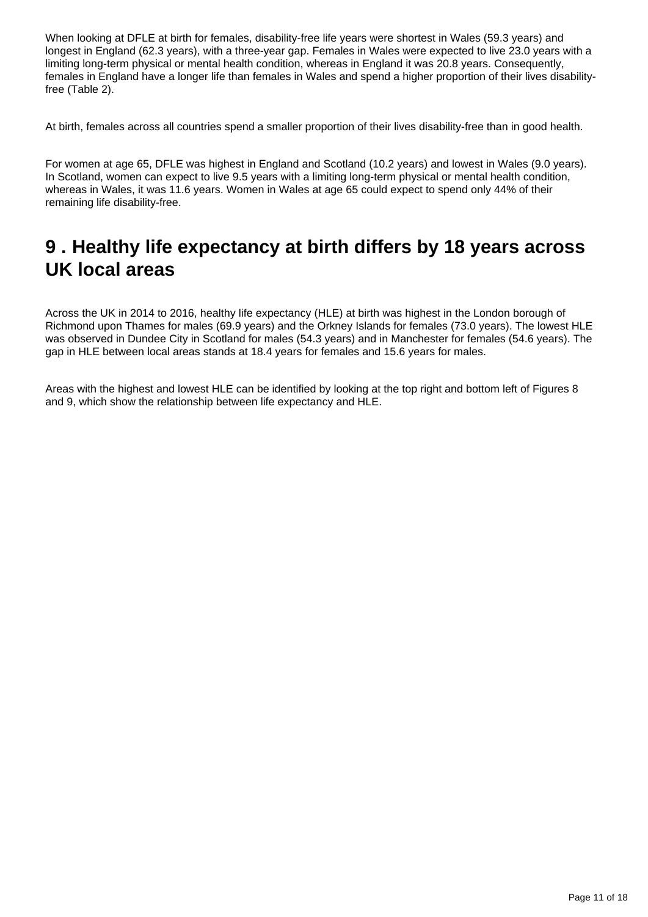When looking at DFLE at birth for females, disability-free life years were shortest in Wales (59.3 years) and longest in England (62.3 years), with a three-year gap. Females in Wales were expected to live 23.0 years with a limiting long-term physical or mental health condition, whereas in England it was 20.8 years. Consequently, females in England have a longer life than females in Wales and spend a higher proportion of their lives disabilityfree (Table 2).

At birth, females across all countries spend a smaller proportion of their lives disability-free than in good health.

For women at age 65, DFLE was highest in England and Scotland (10.2 years) and lowest in Wales (9.0 years). In Scotland, women can expect to live 9.5 years with a limiting long-term physical or mental health condition, whereas in Wales, it was 11.6 years. Women in Wales at age 65 could expect to spend only 44% of their remaining life disability-free.

### <span id="page-10-0"></span>**9 . Healthy life expectancy at birth differs by 18 years across UK local areas**

Across the UK in 2014 to 2016, healthy life expectancy (HLE) at birth was highest in the London borough of Richmond upon Thames for males (69.9 years) and the Orkney Islands for females (73.0 years). The lowest HLE was observed in Dundee City in Scotland for males (54.3 years) and in Manchester for females (54.6 years). The gap in HLE between local areas stands at 18.4 years for females and 15.6 years for males.

Areas with the highest and lowest HLE can be identified by looking at the top right and bottom left of Figures 8 and 9, which show the relationship between life expectancy and HLE.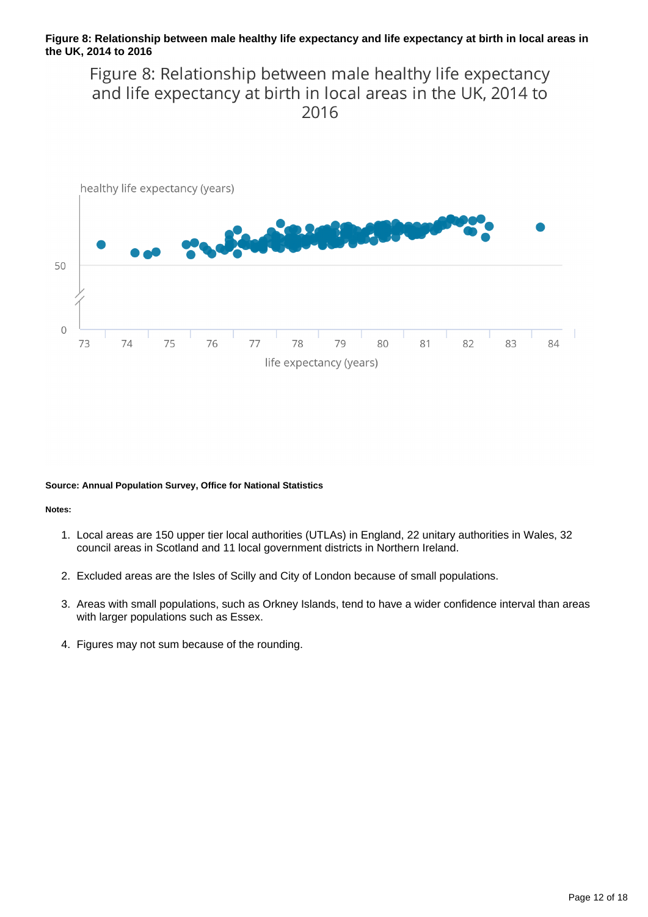#### **Figure 8: Relationship between male healthy life expectancy and life expectancy at birth in local areas in the UK, 2014 to 2016**

Figure 8: Relationship between male healthy life expectancy and life expectancy at birth in local areas in the UK, 2014 to 2016



#### **Source: Annual Population Survey, Office for National Statistics**

#### **Notes:**

- 1. Local areas are 150 upper tier local authorities (UTLAs) in England, 22 unitary authorities in Wales, 32 council areas in Scotland and 11 local government districts in Northern Ireland.
- 2. Excluded areas are the Isles of Scilly and City of London because of small populations.
- 3. Areas with small populations, such as Orkney Islands, tend to have a wider confidence interval than areas with larger populations such as Essex.
- 4. Figures may not sum because of the rounding.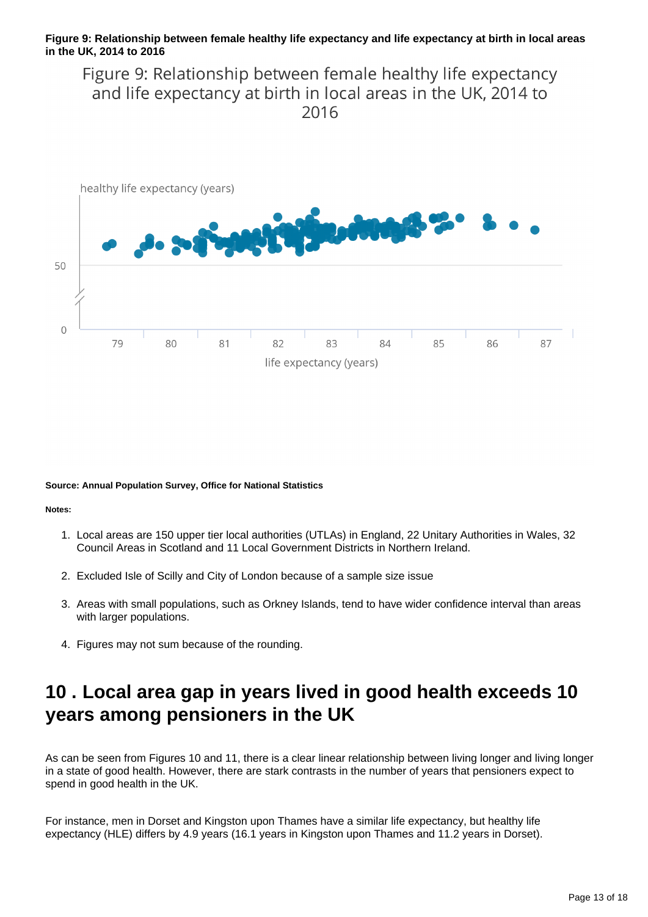#### **Figure 9: Relationship between female healthy life expectancy and life expectancy at birth in local areas in the UK, 2014 to 2016**

Figure 9: Relationship between female healthy life expectancy and life expectancy at birth in local areas in the UK, 2014 to 2016



#### **Source: Annual Population Survey, Office for National Statistics**

#### **Notes:**

- 1. Local areas are 150 upper tier local authorities (UTLAs) in England, 22 Unitary Authorities in Wales, 32 Council Areas in Scotland and 11 Local Government Districts in Northern Ireland.
- 2. Excluded Isle of Scilly and City of London because of a sample size issue
- 3. Areas with small populations, such as Orkney Islands, tend to have wider confidence interval than areas with larger populations.
- 4. Figures may not sum because of the rounding.

## <span id="page-12-0"></span>**10 . Local area gap in years lived in good health exceeds 10 years among pensioners in the UK**

As can be seen from Figures 10 and 11, there is a clear linear relationship between living longer and living longer in a state of good health. However, there are stark contrasts in the number of years that pensioners expect to spend in good health in the UK.

For instance, men in Dorset and Kingston upon Thames have a similar life expectancy, but healthy life expectancy (HLE) differs by 4.9 years (16.1 years in Kingston upon Thames and 11.2 years in Dorset).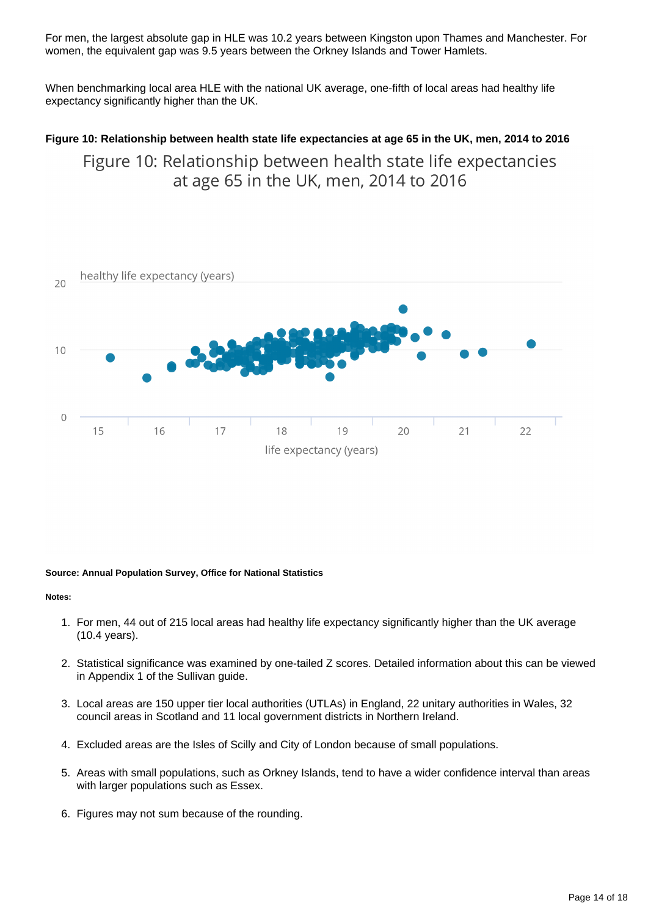For men, the largest absolute gap in HLE was 10.2 years between Kingston upon Thames and Manchester. For women, the equivalent gap was 9.5 years between the Orkney Islands and Tower Hamlets.

When benchmarking local area HLE with the national UK average, one-fifth of local areas had healthy life expectancy significantly higher than the UK.

### **Figure 10: Relationship between health state life expectancies at age 65 in the UK, men, 2014 to 2016** Figure 10: Relationship between health state life expectancies at age 65 in the UK, men, 2014 to 2016



#### **Source: Annual Population Survey, Office for National Statistics**

#### **Notes:**

- 1. For men, 44 out of 215 local areas had healthy life expectancy significantly higher than the UK average (10.4 years).
- 2. Statistical significance was examined by one-tailed Z scores. Detailed information about this can be viewed in Appendix 1 of the Sullivan guide.
- 3. Local areas are 150 upper tier local authorities (UTLAs) in England, 22 unitary authorities in Wales, 32 council areas in Scotland and 11 local government districts in Northern Ireland.
- 4. Excluded areas are the Isles of Scilly and City of London because of small populations.
- 5. Areas with small populations, such as Orkney Islands, tend to have a wider confidence interval than areas with larger populations such as Essex.
- 6. Figures may not sum because of the rounding.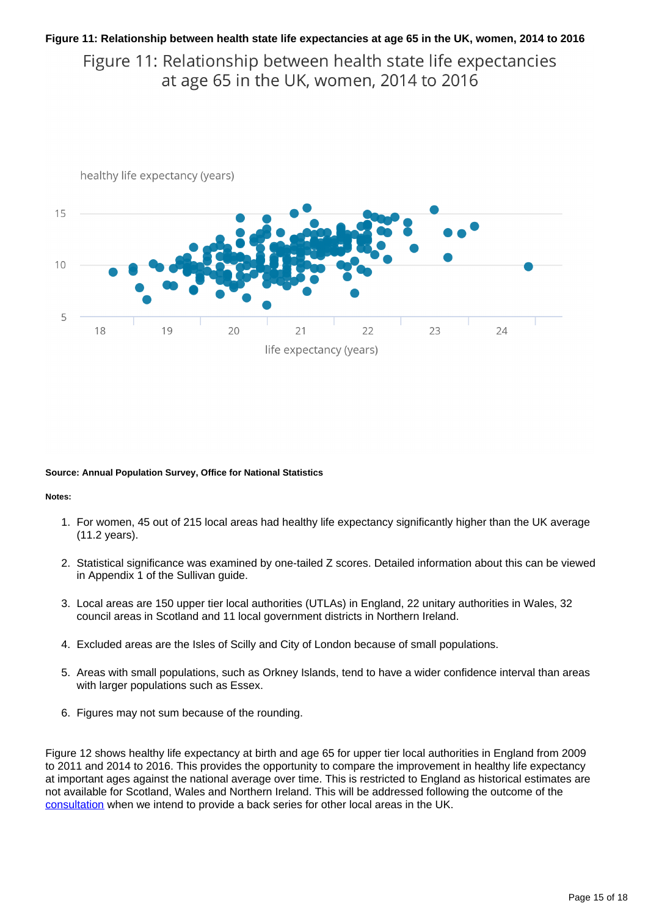#### **Figure 11: Relationship between health state life expectancies at age 65 in the UK, women, 2014 to 2016**

Figure 11: Relationship between health state life expectancies at age 65 in the UK, women, 2014 to 2016



#### **Source: Annual Population Survey, Office for National Statistics**

#### **Notes:**

- 1. For women, 45 out of 215 local areas had healthy life expectancy significantly higher than the UK average (11.2 years).
- 2. Statistical significance was examined by one-tailed Z scores. Detailed information about this can be viewed in Appendix 1 of the Sullivan guide.
- 3. Local areas are 150 upper tier local authorities (UTLAs) in England, 22 unitary authorities in Wales, 32 council areas in Scotland and 11 local government districts in Northern Ireland.
- 4. Excluded areas are the Isles of Scilly and City of London because of small populations.
- 5. Areas with small populations, such as Orkney Islands, tend to have a wider confidence interval than areas with larger populations such as Essex.
- 6. Figures may not sum because of the rounding.

Figure 12 shows healthy life expectancy at birth and age 65 for upper tier local authorities in England from 2009 to 2011 and 2014 to 2016. This provides the opportunity to compare the improvement in healthy life expectancy at important ages against the national average over time. This is restricted to England as historical estimates are not available for Scotland, Wales and Northern Ireland. This will be addressed following the outcome of the [consultation](https://consultations.ons.gov.uk/health-and-life-events/changes-to-health-state-life-expectancy-methodolog/) when we intend to provide a back series for other local areas in the UK.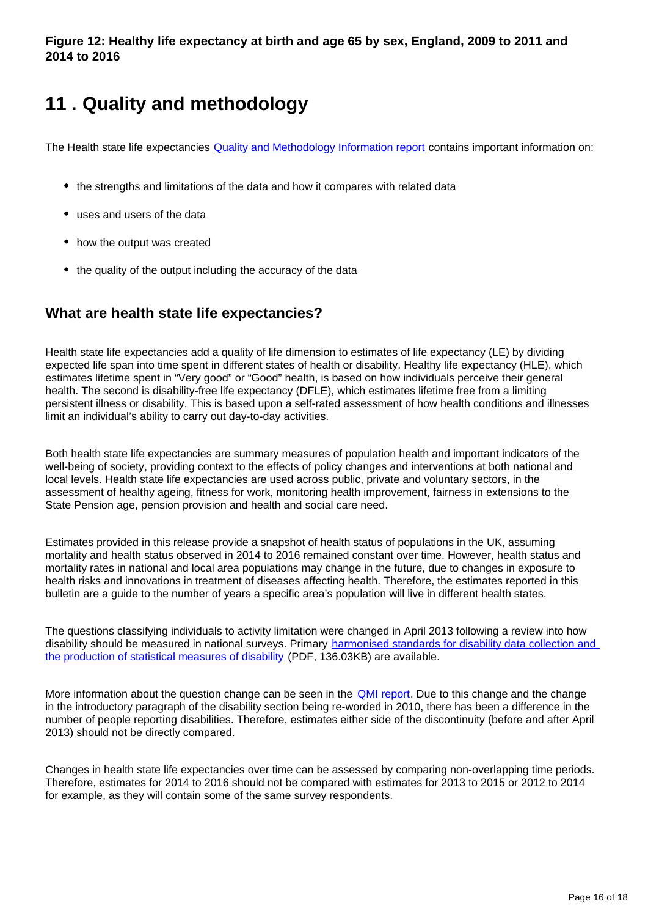## <span id="page-15-0"></span>**11 . Quality and methodology**

The Health state life expectancies **Quality and Methodology Information report** contains important information on:

- the strengths and limitations of the data and how it compares with related data
- uses and users of the data
- how the output was created
- the quality of the output including the accuracy of the data

### **What are health state life expectancies?**

Health state life expectancies add a quality of life dimension to estimates of life expectancy (LE) by dividing expected life span into time spent in different states of health or disability. Healthy life expectancy (HLE), which estimates lifetime spent in "Very good" or "Good" health, is based on how individuals perceive their general health. The second is disability-free life expectancy (DFLE), which estimates lifetime free from a limiting persistent illness or disability. This is based upon a self-rated assessment of how health conditions and illnesses limit an individual's ability to carry out day-to-day activities.

Both health state life expectancies are summary measures of population health and important indicators of the well-being of society, providing context to the effects of policy changes and interventions at both national and local levels. Health state life expectancies are used across public, private and voluntary sectors, in the assessment of healthy ageing, fitness for work, monitoring health improvement, fairness in extensions to the State Pension age, pension provision and health and social care need.

Estimates provided in this release provide a snapshot of health status of populations in the UK, assuming mortality and health status observed in 2014 to 2016 remained constant over time. However, health status and mortality rates in national and local area populations may change in the future, due to changes in exposure to health risks and innovations in treatment of diseases affecting health. Therefore, the estimates reported in this bulletin are a guide to the number of years a specific area's population will live in different health states.

The questions classifying individuals to activity limitation were changed in April 2013 following a review into how disability should be measured in national surveys. Primary harmonised standards for disability data collection and [the production of statistical measures of disability](http://www.ons.gov.uk/ons/guide-method/harmonisation/primary-set-of-harmonised-concepts-and-questions/long-lasting-health-conditions-and-illnesses--impairments-and-disability.pdf) (PDF, 136.03KB) are available.

More information about the question change can be seen in the **[QMI report](https://www.ons.gov.uk/peoplepopulationandcommunity/healthandsocialcare/healthandlifeexpectancies/methodologies/healthstatelifeexpectanciesukqmi)**. Due to this change and the change in the introductory paragraph of the disability section being re-worded in 2010, there has been a difference in the number of people reporting disabilities. Therefore, estimates either side of the discontinuity (before and after April 2013) should not be directly compared.

Changes in health state life expectancies over time can be assessed by comparing non-overlapping time periods. Therefore, estimates for 2014 to 2016 should not be compared with estimates for 2013 to 2015 or 2012 to 2014 for example, as they will contain some of the same survey respondents.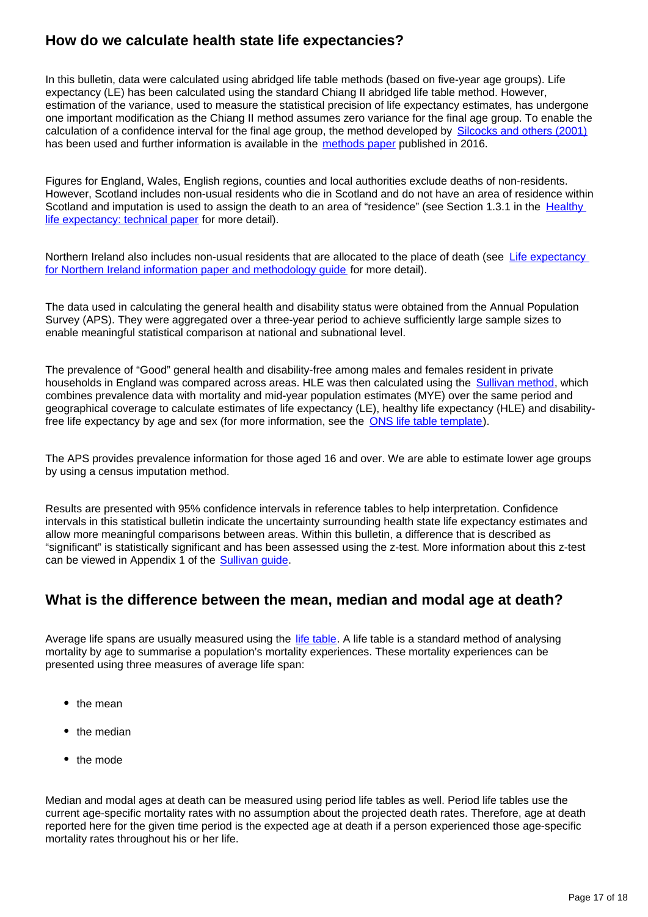### **How do we calculate health state life expectancies?**

In this bulletin, data were calculated using abridged life table methods (based on five-year age groups). Life expectancy (LE) has been calculated using the standard Chiang II abridged life table method. However, estimation of the variance, used to measure the statistical precision of life expectancy estimates, has undergone one important modification as the Chiang II method assumes zero variance for the final age group. To enable the calculation of a confidence interval for the final age group, the method developed by [Silcocks and others \(2001\)](http://jech.bmj.com/content/55/1/38.full) has been used and further information is available in the [methods paper](https://www.ons.gov.uk/peoplepopulationandcommunity/healthandsocialcare/healthandlifeexpectancies/methodologies/methodchangestolifeandhealthstateexpectancies) published in 2016.

Figures for England, Wales, English regions, counties and local authorities exclude deaths of non-residents. However, Scotland includes non-usual residents who die in Scotland and do not have an area of residence within Scotland and imputation is used to assign the death to an area of "residence" (see Section 1.3.1 in the Healthy [life expectancy: technical paper](http://www.scotpho.org.uk/downloads/hle/HLE-technical-paper-2015-v9.pdf) for more detail).

Northern Ireland also includes non-usual residents that are allocated to the place of death (see [Life expectancy](http://www.nisra.gov.uk/archive/demography/vital/deaths/life_tables/LE%20Information%20Paper.pdf)  [for Northern Ireland information paper and methodology guide](http://www.nisra.gov.uk/archive/demography/vital/deaths/life_tables/LE%20Information%20Paper.pdf) for more detail).

The data used in calculating the general health and disability status were obtained from the Annual Population Survey (APS). They were aggregated over a three-year period to achieve sufficiently large sample sizes to enable meaningful statistical comparison at national and subnational level.

The prevalence of "Good" general health and disability-free among males and females resident in private households in England was compared across areas. HLE was then calculated using the [Sullivan method,](http://www.eurohex.eu/pdf/Sullivan_guide_pre%20final_oct%202014.pdf) which combines prevalence data with mortality and mid-year population estimates (MYE) over the same period and geographical coverage to calculate estimates of life expectancy (LE), healthy life expectancy (HLE) and disabilityfree life expectancy by age and sex (for more information, see the [ONS life table template\)](https://www.ons.gov.uk/peoplepopulationandcommunity/healthandsocialcare/healthandlifeexpectancies/datasets/healthstatelifeexpectancytemplate).

The APS provides prevalence information for those aged 16 and over. We are able to estimate lower age groups by using a census imputation method.

Results are presented with 95% confidence intervals in reference tables to help interpretation. Confidence intervals in this statistical bulletin indicate the uncertainty surrounding health state life expectancy estimates and allow more meaningful comparisons between areas. Within this bulletin, a difference that is described as "significant" is statistically significant and has been assessed using the z-test. More information about this z-test can be viewed in Appendix 1 of the **Sullivan quide**.

### **What is the difference between the mean, median and modal age at death?**

Average life spans are usually measured using the [life table.](http://www.ons.gov.uk/ons/guide-method/method-quality/specific/population-and-migration/demography/guide-to-calculating-interim-life-tables/index.html) A life table is a standard method of analysing mortality by age to summarise a population's mortality experiences. These mortality experiences can be presented using three measures of average life span:

- $•$  the mean
- the median
- the mode

Median and modal ages at death can be measured using period life tables as well. Period life tables use the current age-specific mortality rates with no assumption about the projected death rates. Therefore, age at death reported here for the given time period is the expected age at death if a person experienced those age-specific mortality rates throughout his or her life.